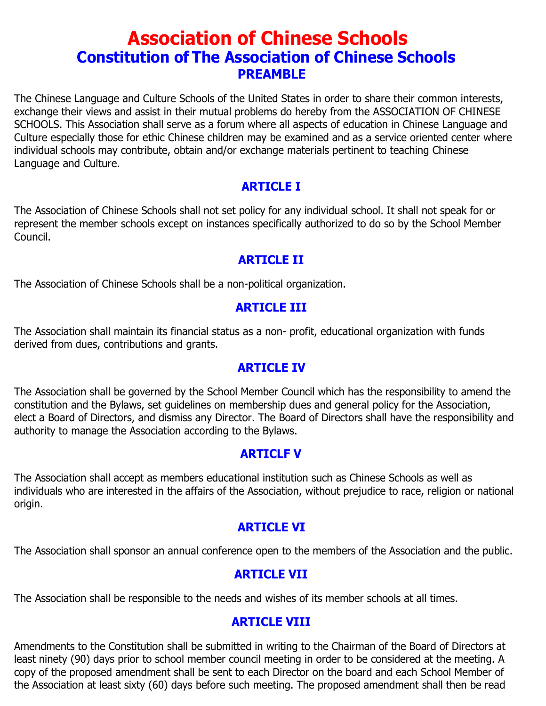# **Association of Chinese Schools Constitution of The Association of Chinese Schools PREAMBLE**

The Chinese Language and Culture Schools of the United States in order to share their common interests, exchange their views and assist in their mutual problems do hereby from the ASSOCIATION OF CHINESE SCHOOLS. This Association shall serve as a forum where all aspects of education in Chinese Language and Culture especially those for ethic Chinese children may be examined and as a service oriented center where individual schools may contribute, obtain and/or exchange materials pertinent to teaching Chinese Language and Culture.

### **ARTICLE I**

The Association of Chinese Schools shall not set policy for any individual school. It shall not speak for or represent the member schools except on instances specifically authorized to do so by the School Member Council.

### **ARTICLE II**

The Association of Chinese Schools shall be a non-political organization.

### **ARTICLE III**

The Association shall maintain its financial status as a non- profit, educational organization with funds derived from dues, contributions and grants.

### **ARTICLE IV**

The Association shall be governed by the School Member Council which has the responsibility to amend the constitution and the Bylaws, set guidelines on membership dues and general policy for the Association, elect a Board of Directors, and dismiss any Director. The Board of Directors shall have the responsibility and authority to manage the Association according to the Bylaws.

### **ARTICLF V**

The Association shall accept as members educational institution such as Chinese Schools as well as individuals who are interested in the affairs of the Association, without prejudice to race, religion or national origin.

### **ARTICLE VI**

The Association shall sponsor an annual conference open to the members of the Association and the public.

# **ARTICLE VII**

The Association shall be responsible to the needs and wishes of its member schools at all times.

# **ARTICLE VIII**

Amendments to the Constitution shall be submitted in writing to the Chairman of the Board of Directors at least ninety (90) days prior to school member council meeting in order to be considered at the meeting. A copy of the proposed amendment shall be sent to each Director on the board and each School Member of the Association at least sixty (60) days before such meeting. The proposed amendment shall then be read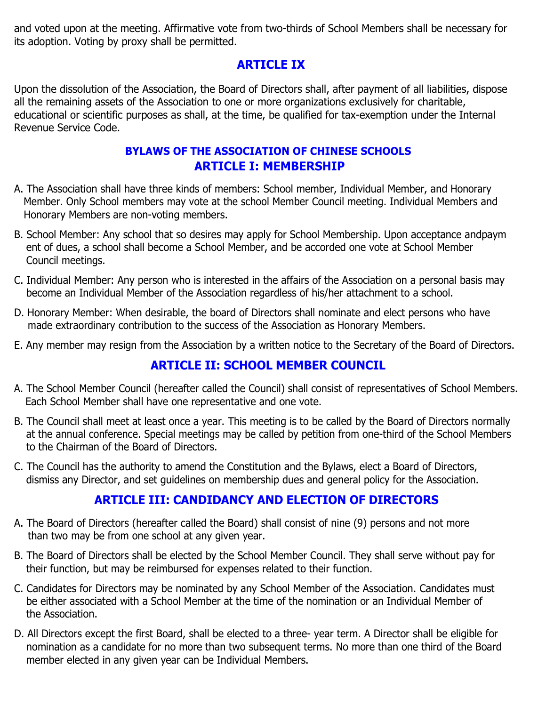and voted upon at the meeting. Affirmative vote from two-thirds of School Members shall be necessary for its adoption. Voting by proxy shall be permitted.

# **ARTICLE IX**

Upon the dissolution of the Association, the Board of Directors shall, after payment of all liabilities, dispose all the remaining assets of the Association to one or more organizations exclusively for charitable, educational or scientific purposes as shall, at the time, be qualified for tax-exemption under the Internal Revenue Service Code.

#### **ARTICLE I: MEMBERSHIP BYLAWS OF THE ASSOCIATION OF CHINESE SCHOOLS**

- A. The Association shall have three kinds of members: School member, Individual Member, and Honorary Member. Only School members may vote at the school Member Council meeting. Individual Members and Honorary Members are non-voting members.
- B. School Member: Any school that so desires may apply for School Membership. Upon acceptance andpaym ent of dues, a school shall become a School Member, and be accorded one vote at School Member Council meetings.
- C. Individual Member: Any person who is interested in the affairs of the Association on a personal basis may become an Individual Member of the Association regardless of his/her attachment to a school.
- D. Honorary Member: When desirable, the board of Directors shall nominate and elect persons who have made extraordinary contribution to the success of the Association as Honorary Members.
- E. Any member may resign from the Association by a written notice to the Secretary of the Board of Directors.

# **ARTICLE II: SCHOOL MEMBER COUNCIL**

- A. The School Member Council (hereafter called the Council) shall consist of representatives of School Members. Each School Member shall have one representative and one vote.
- B. The Council shall meet at least once a year. This meeting is to be called by the Board of Directors normally at the annual conference. Special meetings may be called by petition from one-third of the School Members to the Chairman of the Board of Directors.
- C. The Council has the authority to amend the Constitution and the Bylaws, elect a Board of Directors, dismiss any Director, and set guidelines on membership dues and general policy for the Association.

### **ARTICLE III: CANDIDANCY AND ELECTION OF DIRECTORS**

- A. The Board of Directors (hereafter called the Board) shall consist of nine (9) persons and not more than two may be from one school at any given year.
- B. The Board of Directors shall be elected by the School Member Council. They shall serve without pay for their function, but may be reimbursed for expenses related to their function.
- C. Candidates for Directors may be nominated by any School Member of the Association. Candidates must be either associated with a School Member at the time of the nomination or an Individual Member of the Association.
- D. All Directors except the first Board, shall be elected to a three- year term. A Director shall be eligible for nomination as a candidate for no more than two subsequent terms. No more than one third of the Board member elected in any given year can be Individual Members.